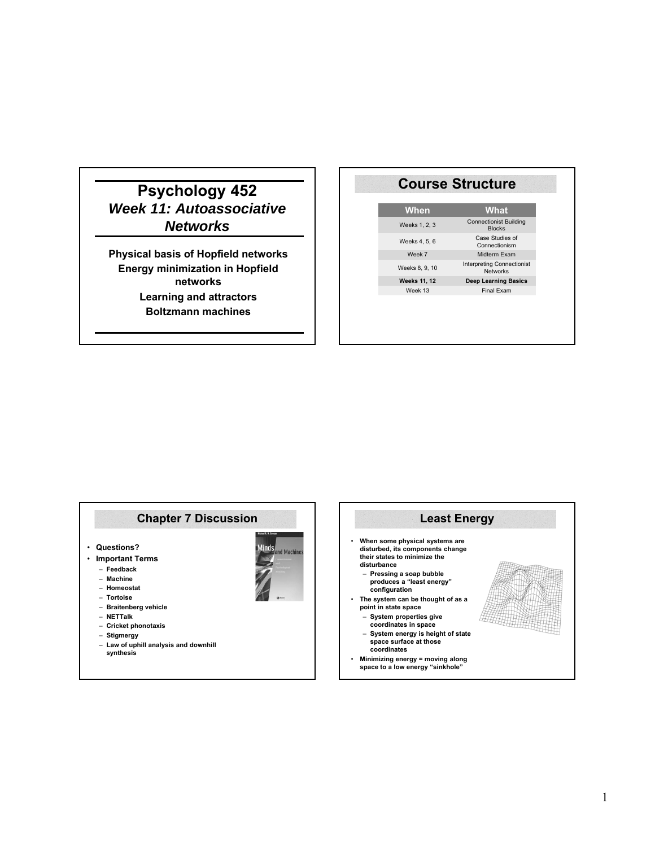# **Psychology 452** *Week 11: Autoassociative Networks*

**Physical basis of Hopfield networks Energy minimization in Hopfield networks Learning and attractors Boltzmann machines**

### **Course Structure**

| When                | What                                                 |
|---------------------|------------------------------------------------------|
| Weeks 1, 2, 3       | <b>Connectionist Building</b><br><b>Blocks</b>       |
| Weeks 4, 5, 6       | Case Studies of<br>Connectionism                     |
| Week 7              | Midterm Exam                                         |
| Weeks 8, 9, 10      | <b>Interpreting Connectionist</b><br><b>Networks</b> |
| <b>Weeks 11, 12</b> | <b>Deep Learning Basics</b>                          |
| Week 13             | <b>Final Exam</b>                                    |
|                     |                                                      |

# **Chapter 7 Discussion**

- **Questions?**
- **Important Terms**
	- **Feedback**
	- **Machine**
	- **Homeostat** – **Tortoise**
	- **Braitenberg vehicle**
	- **NETTalk**
	- **Cricket phonotaxis**
	- **Stigmergy**
	- **Law of uphill analysis and downhill synthesis**

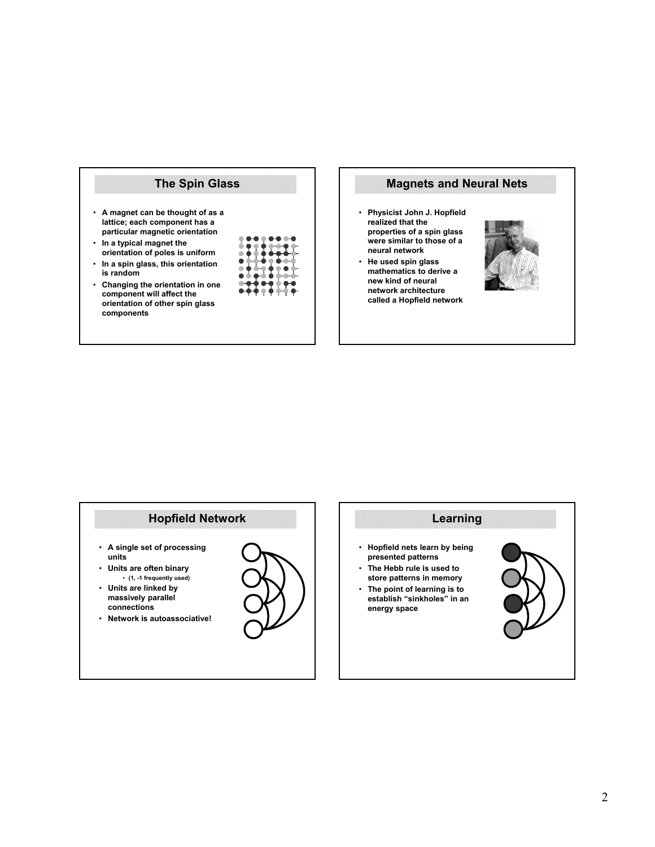



### **Hopfield Network**

- **A single set of processing units**
- **Units are often binary**  • **(1, -1 frequently used)**
- **Units are linked by massively parallel connections**
- **Network is autoassociative!**



# **Learning**

- **Hopfield nets learn by being presented patterns**
- **The Hebb rule is used to store patterns in memory**
- **The point of learning is to establish "sinkholes" in an energy space**

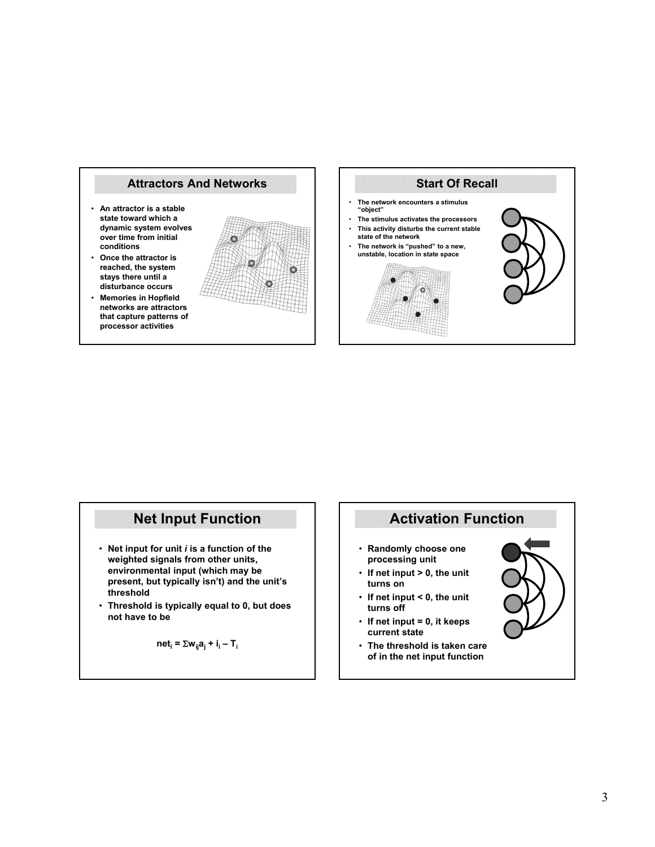

- **An attractor is a stable state toward which a dynamic system evolves over time from initial conditions**
- **Once the attractor is reached, the system stays there until a disturbance occurs**
- **Memories in Hopfield networks are attractors that capture patterns of processor activities**





- **Net input for unit** *i* **is a function of the weighted signals from other units, environmental input (which may be present, but typically isn't) and the unit's threshold**
- **Threshold is typically equal to 0, but does not have to be**

$$
net_i = \sum w_{ij} a_j + i_i - T_i
$$

# **Net Input Function Activation Function**

- **Randomly choose one processing unit**
- **If net input > 0, the unit turns on**
- **If net input < 0, the unit turns off**
- **If net input = 0, it keeps current state**
- **The threshold is taken care of in the net input function**

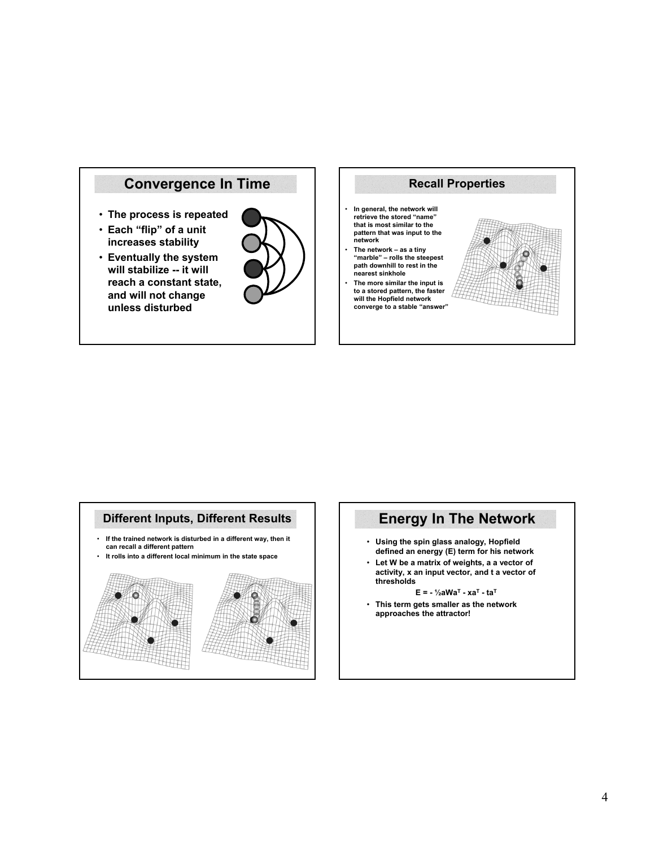



# **Different Inputs, Different Results**

- **If the trained network is disturbed in a different way, then it can recall a different pattern**
- **It rolls into a different local minimum in the state space**



# **Energy In The Network**

- **Using the spin glass analogy, Hopfield defined an energy (E) term for his network**
- **Let W be a matrix of weights, a a vector of activity, x an input vector, and t a vector of thresholds**

**E = - ½aWaT - xaT - taT**

• **This term gets smaller as the network approaches the attractor!**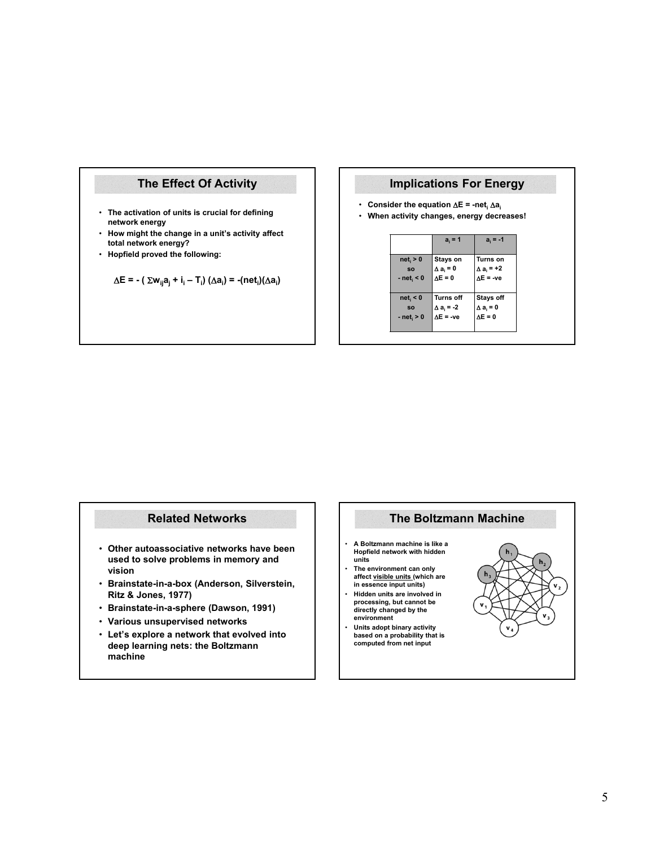### **The Effect Of Activity**

- **The activation of units is crucial for defining network energy**
- **How might the change in a unit's activity affect total network energy?**
- **Hopfield proved the following:**

$$
\Delta E = - (\Sigma w_{ij} a_j + i_i - T_i) (\Delta a_i) = -(net_i)(\Delta a_i)
$$

### **Implications For Energy**

- **Consider the equation**  $\Delta E = -net_i \Delta a_i$
- **When activity changes, energy decreases!**

|              | $a_i = 1$         | $a_i = -1$        |
|--------------|-------------------|-------------------|
| $net_i > 0$  | Stays on          | <b>Turns on</b>   |
| <b>SO</b>    | $\Delta a_i = 0$  | $\Delta a_i = +2$ |
| $- neti < 0$ | $\Delta E = 0$    | $\Delta E = -ve$  |
|              |                   |                   |
| $net_i < 0$  | <b>Turns off</b>  | <b>Stays off</b>  |
| <b>SO</b>    | $\Delta a_i = -2$ | $\Delta a_i = 0$  |
| $- neti > 0$ | $\Delta E = -ve$  | $\Delta E = 0$    |
|              |                   |                   |

### **Related Networks**

- **Other autoassociative networks have been used to solve problems in memory and vision**
- **Brainstate-in-a-box (Anderson, Silverstein, Ritz & Jones, 1977)**
- **Brainstate-in-a-sphere (Dawson, 1991)**
- **Various unsupervised networks**
- **Let's explore a network that evolved into deep learning nets: the Boltzmann machine**

### **The Boltzmann Machine**

- **A Boltzmann machine is like a Hopfield network with hidden units**
- **The environment can only affect visible units (which are in essence input units)**
- **Hidden units are involved in processing, but cannot be directly changed by the environment**
- **Units adopt binary activity based on a probability that is computed from net input**